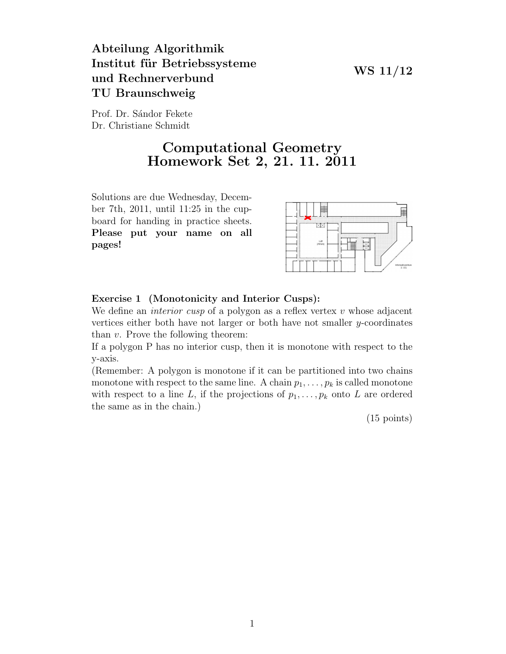### WS 11/12

# Abteilung Algorithmik Institut für Betriebssysteme und Rechnerverbund TU Braunschweig

Prof. Dr. Sándor Fekete Dr. Christiane Schmidt

# Computational Geometry Homework Set 2, 21. 11. 2011

Solutions are due Wednesday, December 7th, 2011, until 11:25 in the cupboard for handing in practice sheets. Please put your name on all pages!



#### Exercise 1 (Monotonicity and Interior Cusps):

We define an *interior cusp* of a polygon as a reflex vertex  $v$  whose adjacent vertices either both have not larger or both have not smaller  $y$ -coordinates than v. Prove the following theorem:

If a polygon P has no interior cusp, then it is monotone with respect to the y-axis.

(Remember: A polygon is monotone if it can be partitioned into two chains monotone with respect to the same line. A chain  $p_1, \ldots, p_k$  is called monotone with respect to a line L, if the projections of  $p_1, \ldots, p_k$  onto L are ordered the same as in the chain.)

(15 points)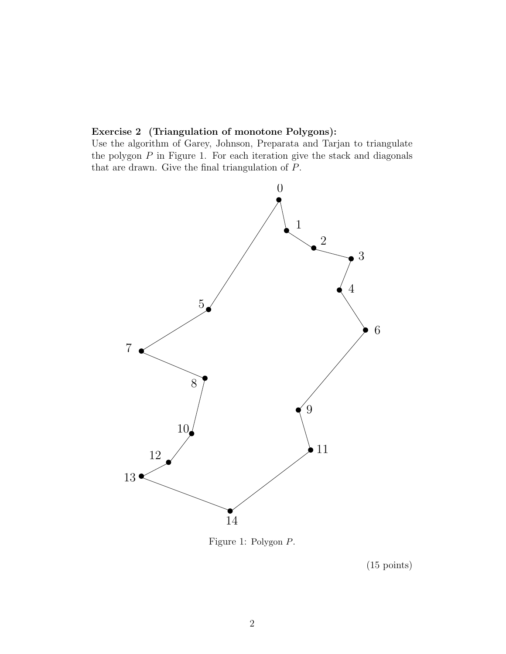### Exercise 2 (Triangulation of monotone Polygons):

Use the algorithm of Garey, Johnson, Preparata and Tarjan to triangulate the polygon  $P$  in Figure 1. For each iteration give the stack and diagonals that are drawn. Give the final triangulation of P.



Figure 1: Polygon P.

(15 points)